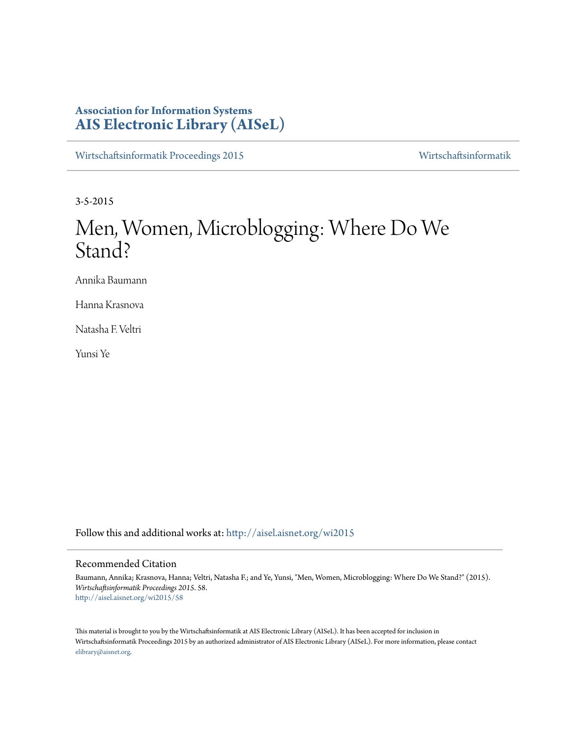## **Association for Information Systems [AIS Electronic Library \(AISeL\)](http://aisel.aisnet.org?utm_source=aisel.aisnet.org%2Fwi2015%2F58&utm_medium=PDF&utm_campaign=PDFCoverPages)**

[Wirtschaftsinformatik Proceedings 2015](http://aisel.aisnet.org/wi2015?utm_source=aisel.aisnet.org%2Fwi2015%2F58&utm_medium=PDF&utm_campaign=PDFCoverPages) [Wirtschaftsinformatik](http://aisel.aisnet.org/wi?utm_source=aisel.aisnet.org%2Fwi2015%2F58&utm_medium=PDF&utm_campaign=PDFCoverPages)

3-5-2015

# Men, Women, Microblogging: Where Do We Stand?

Annika Baumann

Hanna Krasnova

Natasha F. Veltri

Yunsi Ye

Follow this and additional works at: [http://aisel.aisnet.org/wi2015](http://aisel.aisnet.org/wi2015?utm_source=aisel.aisnet.org%2Fwi2015%2F58&utm_medium=PDF&utm_campaign=PDFCoverPages)

## Recommended Citation

Baumann, Annika; Krasnova, Hanna; Veltri, Natasha F.; and Ye, Yunsi, "Men, Women, Microblogging: Where Do We Stand?" (2015). *Wirtschaftsinformatik Proceedings 2015*. 58. [http://aisel.aisnet.org/wi2015/58](http://aisel.aisnet.org/wi2015/58?utm_source=aisel.aisnet.org%2Fwi2015%2F58&utm_medium=PDF&utm_campaign=PDFCoverPages)

This material is brought to you by the Wirtschaftsinformatik at AIS Electronic Library (AISeL). It has been accepted for inclusion in Wirtschaftsinformatik Proceedings 2015 by an authorized administrator of AIS Electronic Library (AISeL). For more information, please contact [elibrary@aisnet.org.](mailto:elibrary@aisnet.org%3E)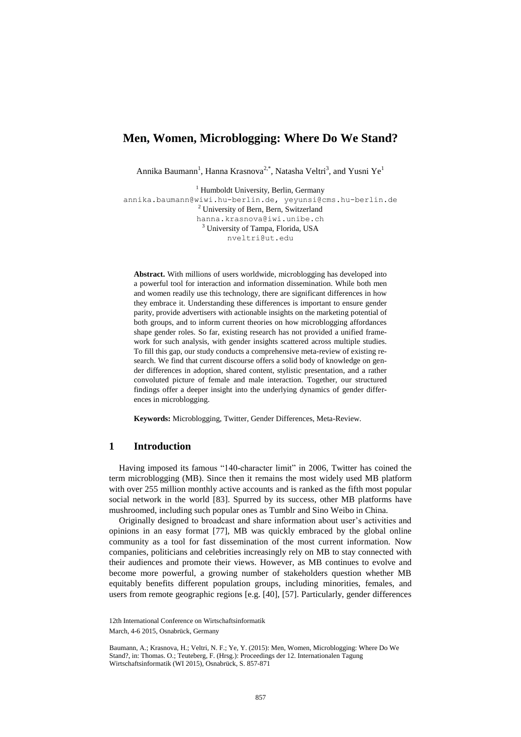## **Men, Women, Microblogging: Where Do We Stand?**

Annika Baumann<sup>1</sup>, Hanna Krasnova<sup>2,\*</sup>, Natasha Veltri<sup>3</sup>, and Yusni Ye<sup>1</sup>

<sup>1</sup> Humboldt University, Berlin, Germany [annika.baumann@wiwi.hu-berlin.de,](mailto:annika.baumann@wiwi.hu-berlin.de) yeyunsi@cms.hu-berlin.de <sup>2</sup> University of Bern, Bern, Switzerland hanna.krasnova@iwi.unibe.ch <sup>3</sup> University of Tampa, Florida, USA nveltri@ut.edu

**Abstract.** With millions of users worldwide, microblogging has developed into a powerful tool for interaction and information dissemination. While both men and women readily use this technology, there are significant differences in how they embrace it. Understanding these differences is important to ensure gender parity, provide advertisers with actionable insights on the marketing potential of both groups, and to inform current theories on how microblogging affordances shape gender roles. So far, existing research has not provided a unified framework for such analysis, with gender insights scattered across multiple studies. To fill this gap, our study conducts a comprehensive meta-review of existing research. We find that current discourse offers a solid body of knowledge on gender differences in adoption, shared content, stylistic presentation, and a rather convoluted picture of female and male interaction. Together, our structured findings offer a deeper insight into the underlying dynamics of gender differences in microblogging.

**Keywords:** Microblogging, Twitter, Gender Differences, Meta-Review.

#### **1 Introduction**

Having imposed its famous "140-character limit" in 2006, Twitter has coined the term microblogging (MB). Since then it remains the most widely used MB platform with over 255 million monthly active accounts and is ranked as the fifth most popular social network in the world [\[83\]](#page-15-0). Spurred by its success, other MB platforms have mushroomed, including such popular ones as Tumblr and Sino Weibo in China.

Originally designed to broadcast and share information about user's activities and opinions in an easy format [\[77\]](#page-15-1), MB was quickly embraced by the global online community as a tool for fast dissemination of the most current information. Now companies, politicians and celebrities increasingly rely on MB to stay connected with their audiences and promote their views. However, as MB continues to evolve and become more powerful, a growing number of stakeholders question whether MB equitably benefits different population groups, including minorities, females, and users from remote geographic regions [e.g. [40], [57]. Particularly, gender differences

<sup>12</sup>th International Conference on Wirtschaftsinformatik March, 4-6 2015, Osnabrück, Germany

Baumann, A.; Krasnova, H.; Veltri, N. F.; Ye, Y. (2015): Men, Women, Microblogging: Where Do We Stand?, in: Thomas. O.; Teuteberg, F. (Hrsg.): Proceedings der 12. Internationalen Tagung Wirtschaftsinformatik (WI 2015), Osnabrück, S. 857-871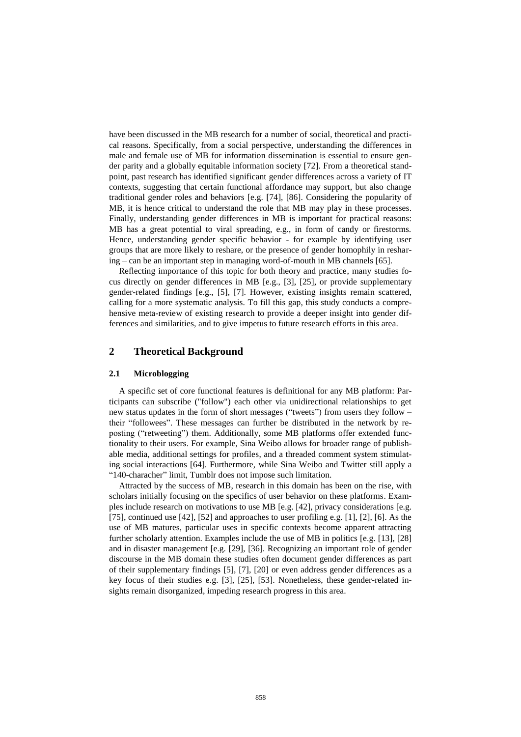have been discussed in the MB research for a number of social, theoretical and practical reasons. Specifically, from a social perspective, understanding the differences in male and female use of MB for information dissemination is essential to ensure gender parity and a globally equitable information society [\[72\]](#page-15-2). From a theoretical standpoint, past research has identified significant gender differences across a variety of IT contexts, suggesting that certain functional affordance may support, but also change traditional gender roles and behaviors [e.g. [\[74\]](#page-15-3), [\[86\]](#page-15-4). Considering the popularity of MB, it is hence critical to understand the role that MB may play in these processes. Finally, understanding gender differences in MB is important for practical reasons: MB has a great potential to viral spreading, e.g., in form of candy or firestorms. Hence, understanding gender specific behavior - for example by identifying user groups that are more likely to reshare, or the presence of gender homophily in resharing – can be an important step in managing word-of-mouth in MB channels [\[65\]](#page-14-0).

Reflecting importance of this topic for both theory and practice, many studies focus directly on gender differences in MB [e.g., [3], [25], or provide supplementary gender-related findings [e.g., [5], [7]. However, existing insights remain scattered, calling for a more systematic analysis. To fill this gap, this study conducts a comprehensive meta-review of existing research to provide a deeper insight into gender differences and similarities, and to give impetus to future research efforts in this area.

## **2 Theoretical Background**

#### **2.1 Microblogging**

A specific set of core functional features is definitional for any MB platform: Participants can subscribe ("follow") each other via unidirectional relationships to get new status updates in the form of short messages ("tweets") from users they follow – their "followees". These messages can further be distributed in the network by reposting ("retweeting") them. Additionally, some MB platforms offer extended functionality to their users. For example, Sina Weibo allows for broader range of publishable media, additional settings for profiles, and a threaded comment system stimulating social interactions [\[64\]](#page-14-1). Furthermore, while Sina Weibo and Twitter still apply a "140-characher" limit, Tumblr does not impose such limitation.

Attracted by the success of MB, research in this domain has been on the rise, with scholars initially focusing on the specifics of user behavior on these platforms. Examples include research on motivations to use MB [e.g. [42], privacy considerations [e.g. [75], continued use  $[42]$ ,  $[52]$  and approaches to user profiling e.g.  $[1]$ ,  $[2]$ ,  $[6]$ . As the use of MB matures, particular uses in specific contexts become apparent attracting further scholarly attention. Examples include the use of MB in politics [e.g. [13], [28] and in disaster management [e.g. [29], [36]. Recognizing an important role of gender discourse in the MB domain these studies often document gender differences as part of their supplementary findings [5], [7], [20] or even address gender differences as a key focus of their studies e.g. [3], [25], [53]. Nonetheless, these gender-related insights remain disorganized, impeding research progress in this area.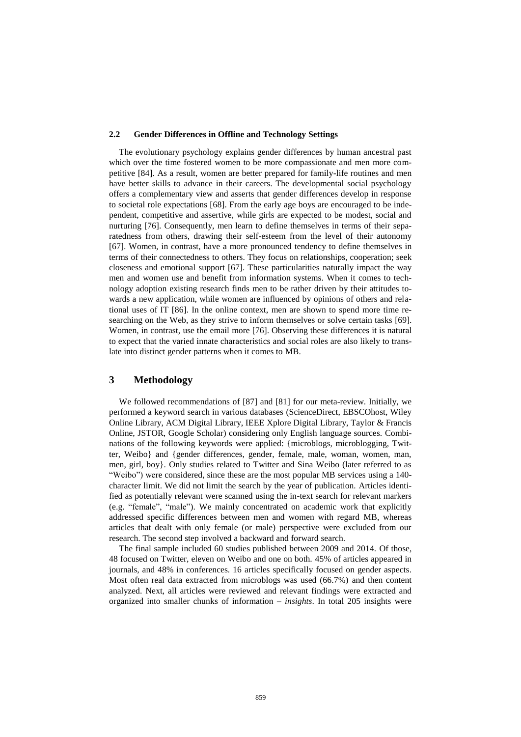#### **2.2 Gender Differences in Offline and Technology Settings**

The evolutionary psychology explains gender differences by human ancestral past which over the time fostered women to be more compassionate and men more competitive [\[84\]](#page-15-5). As a result, women are better prepared for family-life routines and men have better skills to advance in their careers. The developmental social psychology offers a complementary view and asserts that gender differences develop in response to societal role expectations [\[68\]](#page-14-2). From the early age boys are encouraged to be independent, competitive and assertive, while girls are expected to be modest, social and nurturing [\[76\]](#page-15-6). Consequently, men learn to define themselves in terms of their separatedness from others, drawing their self-esteem from the level of their autonomy [\[67\]](#page-14-3). Women, in contrast, have a more pronounced tendency to define themselves in terms of their connectedness to others. They focus on relationships, cooperation; seek closeness and emotional support [\[67\]](#page-14-3). These particularities naturally impact the way men and women use and benefit from information systems. When it comes to technology adoption existing research finds men to be rather driven by their attitudes towards a new application, while women are influenced by opinions of others and relational uses of IT [\[86\]](#page-15-4). In the online context, men are shown to spend more time researching on the Web, as they strive to inform themselves or solve certain tasks [\[69\]](#page-15-7). Women, in contrast, use the email more [\[76\]](#page-15-6). Observing these differences it is natural to expect that the varied innate characteristics and social roles are also likely to translate into distinct gender patterns when it comes to MB.

#### **3 Methodology**

We followed recommendations of [\[87\]](#page-15-8) and [\[81\]](#page-15-9) for our meta-review. Initially, we performed a keyword search in various databases (ScienceDirect, EBSCOhost, Wiley Online Library, ACM Digital Library, IEEE Xplore Digital Library, Taylor & Francis Online, JSTOR, Google Scholar) considering only English language sources. Combinations of the following keywords were applied: {microblogs, microblogging, Twitter, Weibo} and {gender differences, gender, female, male, woman, women, man, men, girl, boy}. Only studies related to Twitter and Sina Weibo (later referred to as "Weibo") were considered, since these are the most popular MB services using a 140 character limit. We did not limit the search by the year of publication. Articles identified as potentially relevant were scanned using the in-text search for relevant markers (e.g. "female", "male"). We mainly concentrated on academic work that explicitly addressed specific differences between men and women with regard MB, whereas articles that dealt with only female (or male) perspective were excluded from our research. The second step involved a backward and forward search.

The final sample included 60 studies published between 2009 and 2014. Of those, 48 focused on Twitter, eleven on Weibo and one on both. 45% of articles appeared in journals, and 48% in conferences. 16 articles specifically focused on gender aspects. Most often real data extracted from microblogs was used (66.7%) and then content analyzed. Next, all articles were reviewed and relevant findings were extracted and organized into smaller chunks of information – *insights*. In total 205 insights were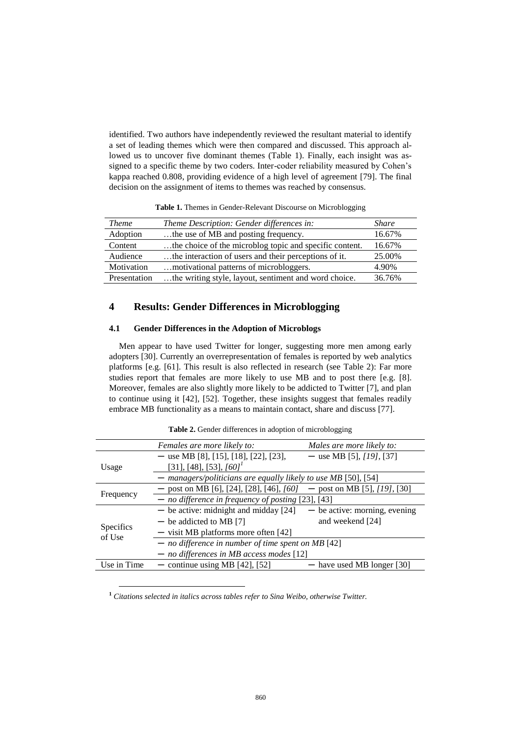identified. Two authors have independently reviewed the resultant material to identify a set of leading themes which were then compared and discussed. This approach allowed us to uncover five dominant themes [\(Table 1\)](#page-4-0). Finally, each insight was assigned to a specific theme by two coders. Inter-coder reliability measured by Cohen's kappa reached 0.808, providing evidence of a high level of agreement [\[79\]](#page-15-10). The final decision on the assignment of items to themes was reached by consensus.

<span id="page-4-0"></span>

| <b>Theme</b> | Theme Description: Gender differences in:               | Share  |
|--------------|---------------------------------------------------------|--------|
| Adoption     | the use of MB and posting frequency.                    | 16.67% |
| Content      | the choice of the microblog topic and specific content. | 16.67% |
| Audience     | the interaction of users and their perceptions of it.   | 25.00% |
| Motivation   | 4.90%<br>motivational patterns of microbloggers.        |        |
| Presentation | the writing style, layout, sentiment and word choice.   | 36.76% |

**Table 1.** Themes in Gender-Relevant Discourse on Microblogging

## **4 Results: Gender Differences in Microblogging**

#### **4.1 Gender Differences in the Adoption of Microblogs**

Men appear to have used Twitter for longer, suggesting more men among early adopters [30]. Currently an overrepresentation of females is reported by web analytics platforms [e.g. [\[61\]](#page-14-4). This result is also reflected in research (see Table 2): Far more studies report that females are more likely to use MB and to post there [e.g. [8]. Moreover, females are also slightly more likely to be addicted to Twitter [7], and plan to continue using it [42], [52]. Together, these insights suggest that females readily embrace MB functionality as a means to maintain contact, share and discuss [77].

|                            | Females are more likely to:                                           | Males are more likely to:       |  |
|----------------------------|-----------------------------------------------------------------------|---------------------------------|--|
|                            | - use MB [8], [15], [18], [22], [23],                                 | - use MB [5], $[19]$ , [37]     |  |
| Usage                      | [31], [48], [53], $[60]$ <sup>1</sup>                                 |                                 |  |
|                            | - managers/politicians are equally likely to use MB [50], [54]        |                                 |  |
|                            | - post on MB [6], [24], [28], [46], [60] - post on MB [5], [19], [30] |                                 |  |
| Frequency                  | - no difference in frequency of posting $[23]$ , [43]                 |                                 |  |
|                            | $-$ be active: midnight and midday [24]                               | $-$ be active: morning, evening |  |
|                            | $-$ be addicted to MB [7]                                             | and weekend [24]                |  |
| <b>Specifics</b><br>of Use | $-$ visit MB platforms more often [42]                                |                                 |  |
|                            | $-$ no difference in number of time spent on MB [42]                  |                                 |  |
|                            | $-$ no differences in MB access modes [12]                            |                                 |  |
| Use in Time                | - continue using MB $[42]$ , $[52]$                                   | - have used MB longer [30]      |  |

**Table 2.** Gender differences in adoption of microblogging

**<sup>1</sup>** *Citations selected in italics across tables refer to Sina Weibo, otherwise Twitter.*

-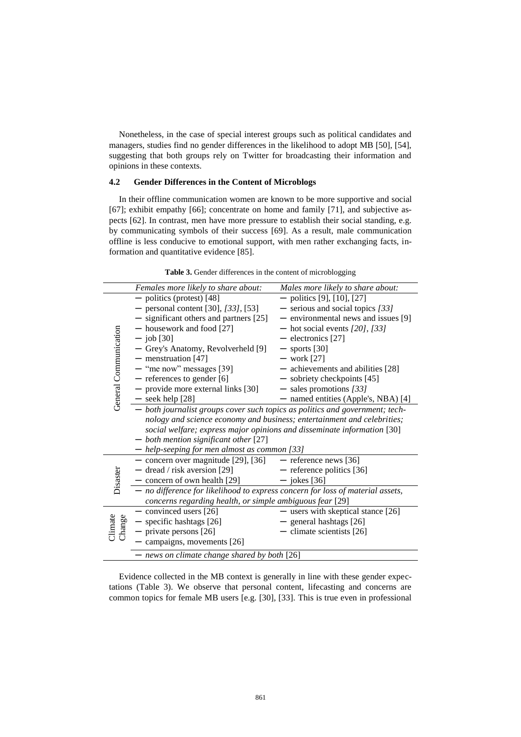Nonetheless, in the case of special interest groups such as political candidates and managers, studies find no gender differences in the likelihood to adopt MB [50], [54], suggesting that both groups rely on Twitter for broadcasting their information and opinions in these contexts.

#### **4.2 Gender Differences in the Content of Microblogs**

In their offline communication women are known to be more supportive and social [\[67\]](#page-14-3); exhibit empathy [\[66\]](#page-14-5); concentrate on home and family [\[71\]](#page-15-11), and subjective aspects [\[62\]](#page-14-6). In contrast, men have more pressure to establish their social standing, e.g. by communicating symbols of their success [\[69\]](#page-15-7). As a result, male communication offline is less conducive to emotional support, with men rather exchanging facts, information and quantitative evidence [\[85\]](#page-15-12).

**Table 3.** Gender differences in the content of microblogging

|                         | Females more likely to share about:                                                                                                                                                                                                                                                                                                                                                                                                                                                                                                                                                           | Males more likely to share about:                                                                                                                                                                                                                                                                                                                |  |  |
|-------------------------|-----------------------------------------------------------------------------------------------------------------------------------------------------------------------------------------------------------------------------------------------------------------------------------------------------------------------------------------------------------------------------------------------------------------------------------------------------------------------------------------------------------------------------------------------------------------------------------------------|--------------------------------------------------------------------------------------------------------------------------------------------------------------------------------------------------------------------------------------------------------------------------------------------------------------------------------------------------|--|--|
| General Communication   | $-$ politics (protest) [48]<br>- personal content [30], $[33]$ , [53]<br>- significant others and partners [25]<br>- housework and food [27]<br>$-$ job [30]<br>- Grey's Anatomy, Revolverheld [9]<br>$-$ menstruation [47]<br>$-$ "me now" messages [39]<br>$-$ references to gender [6]<br>- provide more external links [30]<br>$-$ seek help $[28]$<br>- both journalist groups cover such topics as politics and government; tech-<br>nology and science economy and business; entertainment and celebrities;<br>social welfare; express major opinions and disseminate information [30] | - politics [9], [10], [27]<br>$-$ serious and social topics [33]<br>- environmental news and issues [9]<br>— hot social events $[20]$ , $[33]$<br>- electronics [27]<br>$-$ sports [30]<br>$-$ work [27]<br>- achievements and abilities [28]<br>- sobriety checkpoints [45]<br>$-$ sales promotions [33]<br>- named entities (Apple's, NBA) [4] |  |  |
|                         | $-$ both mention significant other [27]                                                                                                                                                                                                                                                                                                                                                                                                                                                                                                                                                       |                                                                                                                                                                                                                                                                                                                                                  |  |  |
| Disaster                | - help-seeping for men almost as common [33]<br>- concern over magnitude [29], $[36]$ - reference news [36]<br>$-$ dread / risk aversion [29]<br>- concern of own health [29]<br>- no difference for likelihood to express concern for loss of material assets,<br>concerns regarding health, or simple ambiguous fear [29]                                                                                                                                                                                                                                                                   | $-$ reference politics [36]<br>$-$ jokes [36]                                                                                                                                                                                                                                                                                                    |  |  |
| <b>Limate</b><br>Change | $-$ convinced users [26]<br>$-$ specific hashtags [26]<br>$-$ private persons [26]<br>- campaigns, movements [26]<br>$-$ news on climate change shared by both [26]                                                                                                                                                                                                                                                                                                                                                                                                                           | - users with skeptical stance [26]<br>$-$ general hashtags [26]<br>$-$ climate scientists [26]                                                                                                                                                                                                                                                   |  |  |
|                         |                                                                                                                                                                                                                                                                                                                                                                                                                                                                                                                                                                                               |                                                                                                                                                                                                                                                                                                                                                  |  |  |

Evidence collected in the MB context is generally in line with these gender expectations (Table 3). We observe that personal content, lifecasting and concerns are common topics for female MB users [e.g. [30], [33]. This is true even in professional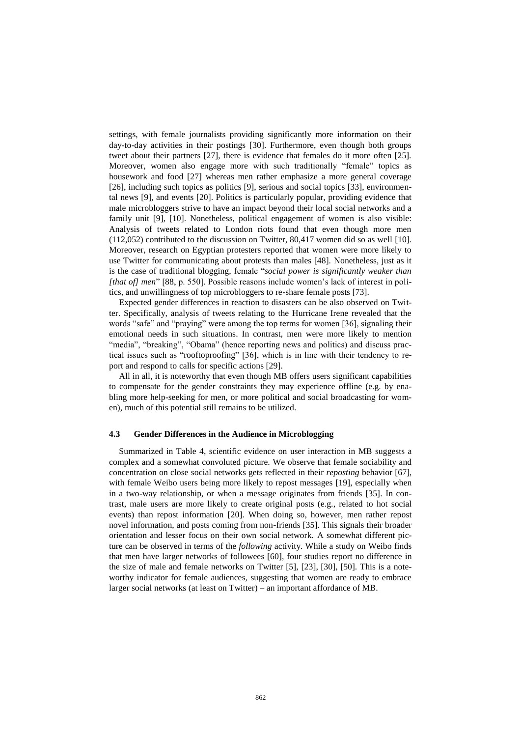settings, with female journalists providing significantly more information on their day-to-day activities in their postings [30]. Furthermore, even though both groups tweet about their partners [27], there is evidence that females do it more often [25]. Moreover, women also engage more with such traditionally "female" topics as housework and food [27] whereas men rather emphasize a more general coverage [26], including such topics as politics [9], serious and social topics [33], environmental news [9], and events [20]. Politics is particularly popular, providing evidence that male microbloggers strive to have an impact beyond their local social networks and a family unit [9], [10]. Nonetheless, political engagement of women is also visible: Analysis of tweets related to London riots found that even though more men (112,052) contributed to the discussion on Twitter, 80,417 women did so as well [10]. Moreover, research on Egyptian protesters reported that women were more likely to use Twitter for communicating about protests than males [48]. Nonetheless, just as it is the case of traditional blogging, female "*social power is significantly weaker than [that of] men*" [\[88,](#page-15-13) p. 550]. Possible reasons include women's lack of interest in politics, and unwillingness of top microbloggers to re-share female posts [\[73\]](#page-15-14).

Expected gender differences in reaction to disasters can be also observed on Twitter. Specifically, analysis of tweets relating to the Hurricane Irene revealed that the words "safe" and "praying" were among the top terms for women [36], signaling their emotional needs in such situations. In contrast, men were more likely to mention "media", "breaking", "Obama" (hence reporting news and politics) and discuss practical issues such as "rooftoproofing" [36], which is in line with their tendency to report and respond to calls for specific actions [29].

All in all, it is noteworthy that even though MB offers users significant capabilities to compensate for the gender constraints they may experience offline (e.g. by enabling more help-seeking for men, or more political and social broadcasting for women), much of this potential still remains to be utilized.

#### **4.3 Gender Differences in the Audience in Microblogging**

Summarized in Table 4, scientific evidence on user interaction in MB suggests a complex and a somewhat convoluted picture. We observe that female sociability and concentration on close social networks gets reflected in their *reposting* behavior [\[67\]](#page-14-3), with female Weibo users being more likely to repost messages [19], especially when in a two-way relationship, or when a message originates from friends [35]. In contrast, male users are more likely to create original posts (e.g., related to hot social events) than repost information [20]. When doing so, however, men rather repost novel information, and posts coming from non-friends [35]. This signals their broader orientation and lesser focus on their own social network. A somewhat different picture can be observed in terms of the *following* activity. While a study on Weibo finds that men have larger networks of followees [60], four studies report no difference in the size of male and female networks on Twitter [5], [23], [30], [50]. This is a noteworthy indicator for female audiences, suggesting that women are ready to embrace larger social networks (at least on Twitter) – an important affordance of MB.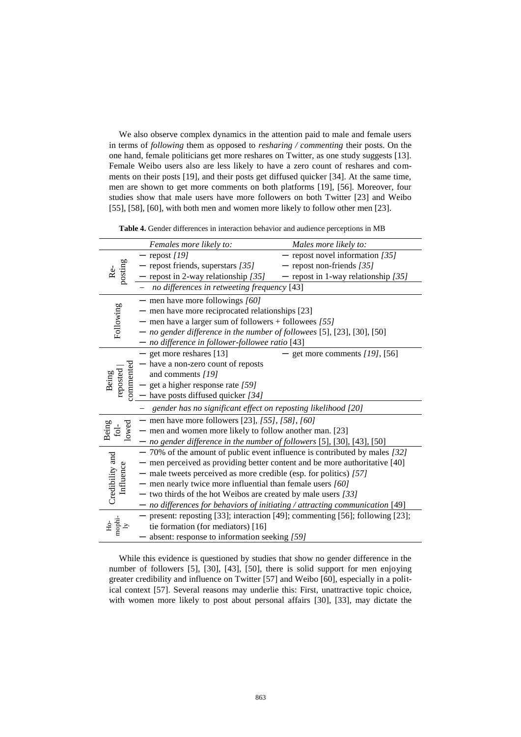We also observe complex dynamics in the attention paid to male and female users in terms of *following* them as opposed to *resharing / commenting* their posts. On the one hand, female politicians get more reshares on Twitter, as one study suggests [13]. Female Weibo users also are less likely to have a zero count of reshares and comments on their posts [19], and their posts get diffused quicker [34]. At the same time, men are shown to get more comments on both platforms [19], [56]. Moreover, four studies show that male users have more followers on both Twitter [23] and Weibo [55], [58], [60], with both men and women more likely to follow other men [23].

**Table 4.** Gender differences in interaction behavior and audience perceptions in MB

|                                        | Females more likely to:                                                        | Males more likely to:                 |
|----------------------------------------|--------------------------------------------------------------------------------|---------------------------------------|
| posting                                | $-$ repost $[19]$                                                              | - repost novel information $[35]$     |
|                                        | $-$ repost friends, superstars [35]                                            | - repost non-friends $[35]$           |
|                                        | - repost in 2-way relationship $[35]$                                          | - repost in 1-way relationship $[35]$ |
|                                        | no differences in retweeting frequency [43]                                    |                                       |
| Following                              | - men have more followings $[60]$                                              |                                       |
|                                        | $-$ men have more reciprocated relationships [23]                              |                                       |
|                                        | - men have a larger sum of followers + followees $[55]$                        |                                       |
|                                        | $-$ no gender difference in the number of followees [5], [23], [30], [50]      |                                       |
|                                        | $-$ no difference in follower-followee ratio [43]                              |                                       |
|                                        | $-$ get more reshares [13]                                                     | get more comments $[19]$ , [56]       |
|                                        | - have a non-zero count of reposts                                             |                                       |
|                                        | and comments [19]                                                              |                                       |
| <b>ommented</b><br>reposted<br>Being   | $-$ get a higher response rate [59]                                            |                                       |
|                                        | $-$ have posts diffused quicker [34]                                           |                                       |
|                                        | gender has no significant effect on reposting likelihood [20]                  |                                       |
|                                        | - men have more followers [23], $[55]$ , $[58]$ , $[60]$                       |                                       |
| lowed<br>Being<br>$\operatorname{fol}$ | - men and women more likely to follow another man. [23]                        |                                       |
|                                        | $-$ no gender difference in the number of followers [5], [30], [43], [50]      |                                       |
|                                        | $-70\%$ of the amount of public event influence is contributed by males [32]   |                                       |
|                                        | - men perceived as providing better content and be more authoritative [40]     |                                       |
|                                        | - male tweets perceived as more credible (esp. for politics) [57]              |                                       |
| Influence                              | - men nearly twice more influential than female users $[60]$                   |                                       |
| Credibility and                        | $-$ two thirds of the hot Weibos are created by male users [33]                |                                       |
|                                        | $-$ no differences for behaviors of initiating / attracting communication [49] |                                       |
| mophi-<br>дЬ                           | - present: reposting [33]; interaction [49]; commenting [56]; following [23];  |                                       |
|                                        | tie formation (for mediators) [16]                                             |                                       |
|                                        | absent: response to information seeking [59]                                   |                                       |

While this evidence is questioned by studies that show no gender difference in the number of followers [5], [30], [43], [50], there is solid support for men enjoying greater credibility and influence on Twitter [57] and Weibo [60], especially in a political context [57]. Several reasons may underlie this: First, unattractive topic choice, with women more likely to post about personal affairs [30], [33], may dictate the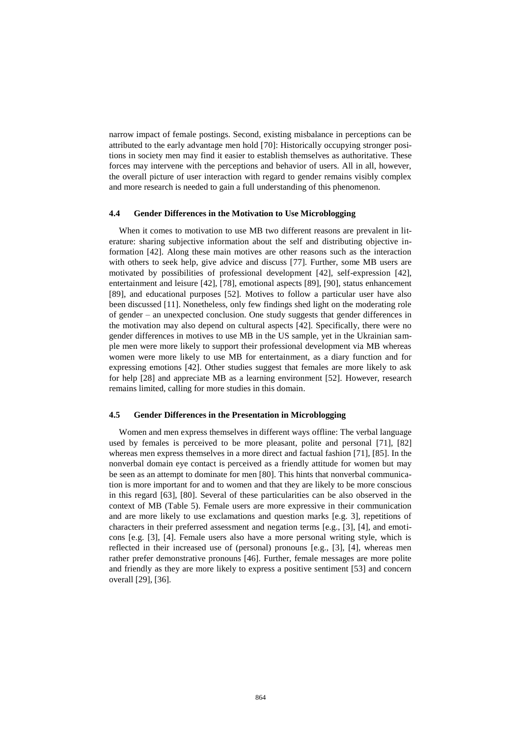narrow impact of female postings. Second, existing misbalance in perceptions can be attributed to the early advantage men hold [\[70\]](#page-15-15): Historically occupying stronger positions in society men may find it easier to establish themselves as authoritative. These forces may intervene with the perceptions and behavior of users. All in all, however, the overall picture of user interaction with regard to gender remains visibly complex and more research is needed to gain a full understanding of this phenomenon.

#### **4.4 Gender Differences in the Motivation to Use Microblogging**

When it comes to motivation to use MB two different reasons are prevalent in literature: sharing subjective information about the self and distributing objective information [42]. Along these main motives are other reasons such as the interaction with others to seek help, give advice and discuss [\[77\]](#page-15-1). Further, some MB users are motivated by possibilities of professional development [42], self-expression [42], entertainment and leisure [42], [\[78\]](#page-15-16), emotional aspects [\[89\]](#page-15-17), [\[90\]](#page-15-18), status enhancement [\[89\]](#page-15-17), and educational purposes [52]. Motives to follow a particular user have also been discussed [11]. Nonetheless, only few findings shed light on the moderating role of gender – an unexpected conclusion. One study suggests that gender differences in the motivation may also depend on cultural aspects [42]. Specifically, there were no gender differences in motives to use MB in the US sample, yet in the Ukrainian sample men were more likely to support their professional development via MB whereas women were more likely to use MB for entertainment, as a diary function and for expressing emotions [42]. Other studies suggest that females are more likely to ask for help [28] and appreciate MB as a learning environment [52]. However, research remains limited, calling for more studies in this domain.

#### **4.5 Gender Differences in the Presentation in Microblogging**

Women and men express themselves in different ways offline: The verbal language used by females is perceived to be more pleasant, polite and personal [\[71\]](#page-15-11), [\[82\]](#page-15-19) whereas men express themselves in a more direct and factual fashion [\[71\]](#page-15-11), [\[85\]](#page-15-12). In the nonverbal domain eye contact is perceived as a friendly attitude for women but may be seen as an attempt to dominate for men [\[80\]](#page-15-20). This hints that nonverbal communication is more important for and to women and that they are likely to be more conscious in this regard [\[63\]](#page-14-7), [\[80\]](#page-15-20). Several of these particularities can be also observed in the context of MB (Table 5). Female users are more expressive in their communication and are more likely to use exclamations and question marks [e.g. 3], repetitions of characters in their preferred assessment and negation terms [e.g., [3], [4], and emoticons [e.g. [3], [4]. Female users also have a more personal writing style, which is reflected in their increased use of (personal) pronouns [e.g., [3], [4], whereas men rather prefer demonstrative pronouns [46]. Further, female messages are more polite and friendly as they are more likely to express a positive sentiment [53] and concern overall [29], [36].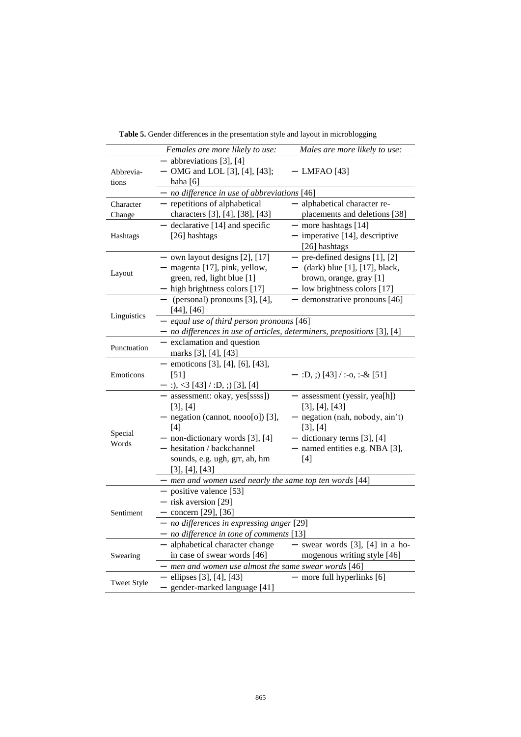|                    | Females are more likely to use:                                         | Males are more likely to use:     |  |
|--------------------|-------------------------------------------------------------------------|-----------------------------------|--|
|                    | $-$ abbreviations [3], [4]                                              |                                   |  |
| Abbrevia-          | - OMG and LOL [3], [4], [43];                                           | $-$ LMFAO [43]                    |  |
| tions              | haha $[6]$                                                              |                                   |  |
|                    | $-$ no difference in use of abbreviations [46]                          |                                   |  |
| Character          | - repetitions of alphabetical                                           | - alphabetical character re-      |  |
| Change             | characters [3], [4], [38], [43]                                         | placements and deletions [38]     |  |
|                    | - declarative [14] and specific                                         | - more hashtags [14]              |  |
| Hashtags           | [26] hashtags                                                           | $-$ imperative [14], descriptive  |  |
|                    |                                                                         | [26] hashtags                     |  |
|                    | $-$ own layout designs [2], [17]                                        | $-$ pre-defined designs [1], [2]  |  |
| Layout             | - magenta [17], pink, yellow,                                           | $-$ (dark) blue [1], [17], black, |  |
|                    | green, red, light blue [1]                                              | brown, orange, gray [1]           |  |
|                    | $-$ high brightness colors [17]                                         | - low brightness colors [17]      |  |
|                    | $-$ (personal) pronouns [3], [4],                                       | - demonstrative pronouns [46]     |  |
|                    | $[44]$ , $[46]$                                                         |                                   |  |
| Linguistics        | - equal use of third person pronouns [46]                               |                                   |  |
|                    | - no differences in use of articles, determiners, prepositions [3], [4] |                                   |  |
|                    | - exclamation and question                                              |                                   |  |
| Punctuation        | marks [3], [4], [43]                                                    |                                   |  |
|                    | - emoticons [3], [4], [6], [43],                                        |                                   |  |
| Emoticons          | $[51]$                                                                  | $-$ :D, ;) [43] / :-o, :-& [51]   |  |
|                    | $-$ :), <3 [43] / :D, ;) [3], [4]                                       |                                   |  |
|                    | - assessment: okay, yes[ssss])                                          | - assessment (yessir, yea[h])     |  |
|                    | [3], [4]                                                                | [3], [4], [43]                    |  |
|                    | - negation (cannot, nooo[o]) [3],                                       | - negation (nah, nobody, ain't)   |  |
|                    | [4]                                                                     | [3], [4]                          |  |
| Special            | $-$ non-dictionary words [3], [4]                                       | $-$ dictionary terms [3], [4]     |  |
| Words              | - hesitation / backchannel                                              | - named entities e.g. NBA [3],    |  |
|                    | sounds, e.g. ugh, grr, ah, hm                                           | [4]                               |  |
|                    | [3], [4], [43]                                                          |                                   |  |
|                    | - men and women used nearly the same top ten words [44]                 |                                   |  |
|                    |                                                                         |                                   |  |
|                    | - positive valence [53]                                                 |                                   |  |
|                    | - risk aversion [29]                                                    |                                   |  |
| Sentiment          | $-$ concern [29], [36]                                                  |                                   |  |
|                    | - no differences in expressing anger [29]                               |                                   |  |
|                    | $-$ no difference in tone of comments [13]                              |                                   |  |
| Swearing           | - alphabetical character change                                         | $-$ swear words [3], [4] in a ho- |  |
|                    | in case of swear words [46]                                             | mogenous writing style [46]       |  |
|                    | - men and women use almost the same swear words [46]                    |                                   |  |
| <b>Tweet Style</b> | $-$ ellipses [3], [4], [43]                                             | $-$ more full hyperlinks $[6]$    |  |
|                    | - gender-marked language [41]                                           |                                   |  |

**Table 5.** Gender differences in the presentation style and layout in microblogging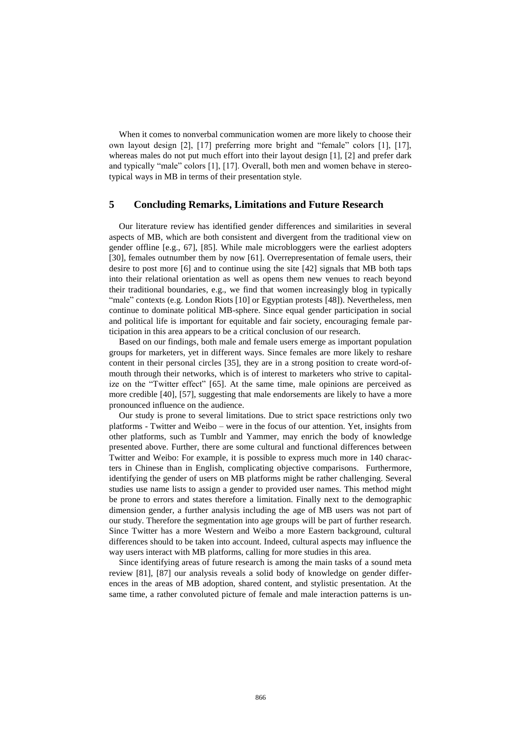When it comes to nonverbal communication women are more likely to choose their own layout design [2], [17] preferring more bright and "female" colors [1], [17], whereas males do not put much effort into their layout design [1], [2] and prefer dark and typically "male" colors [1], [17]. Overall, both men and women behave in stereotypical ways in MB in terms of their presentation style.

#### **5 Concluding Remarks, Limitations and Future Research**

Our literature review has identified gender differences and similarities in several aspects of MB, which are both consistent and divergent from the traditional view on gender offline [e.g., [67\]](#page-14-3), [\[85\]](#page-15-12). While male microbloggers were the earliest adopters [30], females outnumber them by now [\[61\]](#page-14-4). Overrepresentation of female users, their desire to post more [6] and to continue using the site [42] signals that MB both taps into their relational orientation as well as opens them new venues to reach beyond their traditional boundaries, e.g., we find that women increasingly blog in typically "male" contexts (e.g. London Riots [10] or Egyptian protests [48]). Nevertheless, men continue to dominate political MB-sphere. Since equal gender participation in social and political life is important for equitable and fair society, encouraging female participation in this area appears to be a critical conclusion of our research.

Based on our findings, both male and female users emerge as important population groups for marketers, yet in different ways. Since females are more likely to reshare content in their personal circles [35], they are in a strong position to create word-ofmouth through their networks, which is of interest to marketers who strive to capitalize on the "Twitter effect" [65]. At the same time, male opinions are perceived as more credible [40], [57], suggesting that male endorsements are likely to have a more pronounced influence on the audience.

Our study is prone to several limitations. Due to strict space restrictions only two platforms - Twitter and Weibo – were in the focus of our attention. Yet, insights from other platforms, such as Tumblr and Yammer, may enrich the body of knowledge presented above. Further, there are some cultural and functional differences between Twitter and Weibo: For example, it is possible to express much more in 140 characters in Chinese than in English, complicating objective comparisons. Furthermore, identifying the gender of users on MB platforms might be rather challenging. Several studies use name lists to assign a gender to provided user names. This method might be prone to errors and states therefore a limitation. Finally next to the demographic dimension gender, a further analysis including the age of MB users was not part of our study. Therefore the segmentation into age groups will be part of further research. Since Twitter has a more Western and Weibo a more Eastern background, cultural differences should to be taken into account. Indeed, cultural aspects may influence the way users interact with MB platforms, calling for more studies in this area.

Since identifying areas of future research is among the main tasks of a sound meta review [81], [87] our analysis reveals a solid body of knowledge on gender differences in the areas of MB adoption, shared content, and stylistic presentation. At the same time, a rather convoluted picture of female and male interaction patterns is un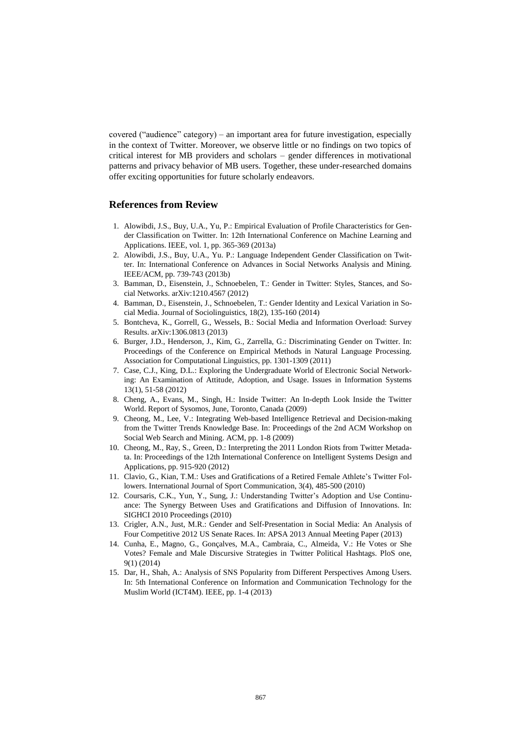covered ("audience" category) – an important area for future investigation, especially in the context of Twitter. Moreover, we observe little or no findings on two topics of critical interest for MB providers and scholars – gender differences in motivational patterns and privacy behavior of MB users. Together, these under-researched domains offer exciting opportunities for future scholarly endeavors.

### **References from Review**

- 1. Alowibdi, J.S., Buy, U.A., Yu, P.: Empirical Evaluation of Profile Characteristics for Gender Classification on Twitter. In: 12th International Conference on Machine Learning and Applications. IEEE, vol. 1, pp. 365-369 (2013a)
- 2. Alowibdi, J.S., Buy, U.A., Yu. P.: Language Independent Gender Classification on Twitter. In: International Conference on Advances in Social Networks Analysis and Mining. IEEE/ACM, pp. 739-743 (2013b)
- 3. Bamman, D., Eisenstein, J., Schnoebelen, T.: Gender in Twitter: Styles, Stances, and Social Networks. arXiv:1210.4567 (2012)
- 4. Bamman, D., Eisenstein, J., Schnoebelen, T.: Gender Identity and Lexical Variation in Social Media. Journal of Sociolinguistics, 18(2), 135-160 (2014)
- 5. Bontcheva, K., Gorrell, G., Wessels, B.: Social Media and Information Overload: Survey Results. arXiv:1306.0813 (2013)
- 6. Burger, J.D., Henderson, J., Kim, G., Zarrella, G.: Discriminating Gender on Twitter. In: Proceedings of the Conference on Empirical Methods in Natural Language Processing. Association for Computational Linguistics, pp. 1301-1309 (2011)
- 7. Case, C.J., King, D.L.: Exploring the Undergraduate World of Electronic Social Networking: An Examination of Attitude, Adoption, and Usage. Issues in Information Systems 13(1), 51-58 (2012)
- 8. Cheng, A., Evans, M., Singh, H.: Inside Twitter: An In-depth Look Inside the Twitter World. Report of Sysomos, June, Toronto, Canada (2009)
- 9. Cheong, M., Lee, V.: Integrating Web-based Intelligence Retrieval and Decision-making from the Twitter Trends Knowledge Base. In: Proceedings of the 2nd ACM Workshop on Social Web Search and Mining. ACM, pp. 1-8 (2009)
- 10. Cheong, M., Ray, S., Green, D.: Interpreting the 2011 London Riots from Twitter Metadata. In: Proceedings of the 12th International Conference on Intelligent Systems Design and Applications, pp. 915-920 (2012)
- 11. Clavio, G., Kian, T.M.: Uses and Gratifications of a Retired Female Athlete's Twitter Followers. International Journal of Sport Communication, 3(4), 485-500 (2010)
- 12. Coursaris, C.K., Yun, Y., Sung, J.: Understanding Twitter's Adoption and Use Continuance: The Synergy Between Uses and Gratifications and Diffusion of Innovations. In: SIGHCI 2010 Proceedings (2010)
- 13. Crigler, A.N., Just, M.R.: Gender and Self-Presentation in Social Media: An Analysis of Four Competitive 2012 US Senate Races. In: APSA 2013 Annual Meeting Paper (2013)
- 14. Cunha, E., Magno, G., Gonçalves, M.A., Cambraia, C., Almeida, V.: He Votes or She Votes? Female and Male Discursive Strategies in Twitter Political Hashtags. PloS one, 9(1) (2014)
- 15. Dar, H., Shah, A.: Analysis of SNS Popularity from Different Perspectives Among Users. In: 5th International Conference on Information and Communication Technology for the Muslim World (ICT4M). IEEE, pp. 1-4 (2013)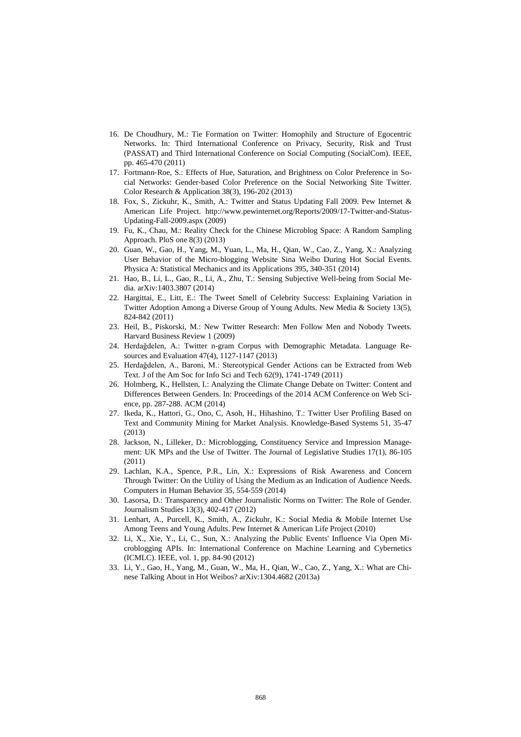- 16. De Choudhury, M.: Tie Formation on Twitter: Homophily and Structure of Egocentric Networks. In: Third International Conference on Privacy, Security, Risk and Trust (PASSAT) and Third International Conference on Social Computing (SocialCom). IEEE, pp. 465-470 (2011)
- 17. Fortmann‐Roe, S.: Effects of Hue, Saturation, and Brightness on Color Preference in Social Networks: Gender‐based Color Preference on the Social Networking Site Twitter. Color Research & Application 38(3), 196-202 (2013)
- 18. Fox, S., Zickuhr, K., Smith, A.: Twitter and Status Updating Fall 2009. Pew Internet & American Life Project. [http://www.pewinternet.org/Reports/2009/17-Twitter-and-Status-](http://www.pewinternet.org/Reports/2009/17-Twitter-and-Status-Updating-Fall-2009.aspx)[Updating-Fall-2009.aspx](http://www.pewinternet.org/Reports/2009/17-Twitter-and-Status-Updating-Fall-2009.aspx) (2009)
- 19. Fu, K., Chau, M.: Reality Check for the Chinese Microblog Space: A Random Sampling Approach. PloS one 8(3) (2013)
- 20. Guan, W., Gao, H., Yang, M., Yuan, L., Ma, H., Qian, W., Cao, Z., Yang, X.: Analyzing User Behavior of the Micro-blogging Website Sina Weibo During Hot Social Events. Physica A: Statistical Mechanics and its Applications 395, 340-351 (2014)
- 21. Hao, B., Li, L., Gao, R., Li, A., Zhu, T.: Sensing Subjective Well-being from Social Media. arXiv:1403.3807 (2014)
- 22. Hargittai, E., Litt, E.: The Tweet Smell of Celebrity Success: Explaining Variation in Twitter Adoption Among a Diverse Group of Young Adults. New Media & Society 13(5), 824-842 (2011)
- 23. Heil, B., Piskorski, M.: New Twitter Research: Men Follow Men and Nobody Tweets. Harvard Business Review 1 (2009)
- 24. Herdağdelen, A.: Twitter n-gram Corpus with Demographic Metadata. Language Resources and Evaluation 47(4), 1127-1147 (2013)
- 25. Herdağdelen, A., Baroni, M.: Stereotypical Gender Actions can be Extracted from Web Text. J of the Am Soc for Info Sci and Tech 62(9), 1741-1749 (2011)
- 26. Holmberg, K., Hellsten, I.: Analyzing the Climate Change Debate on Twitter: Content and Differences Between Genders. In: Proceedings of the 2014 ACM Conference on Web Science, pp. 287-288. ACM (2014)
- 27. Ikeda, K., Hattori, G., Ono, C, Asoh, H., Hihashino, T.: Twitter User Profiling Based on Text and Community Mining for Market Analysis. Knowledge-Based Systems 51, 35-47 (2013)
- 28. Jackson, N., Lilleker, D.: Microblogging, Constituency Service and Impression Management: UK MPs and the Use of Twitter. The Journal of Legislative Studies 17(1), 86-105 (2011)
- 29. Lachlan, K.A., Spence, P.R., Lin, X.: Expressions of Risk Awareness and Concern Through Twitter: On the Utility of Using the Medium as an Indication of Audience Needs. Computers in Human Behavior 35, 554-559 (2014)
- 30. Lasorsa, D.: Transparency and Other Journalistic Norms on Twitter: The Role of Gender. Journalism Studies 13(3), 402-417 (2012)
- 31. Lenhart, A., Purcell, K., Smith, A., Zickuhr, K.: Social Media & Mobile Internet Use Among Teens and Young Adults. Pew Internet & American Life Project (2010)
- 32. Li, X., Xie, Y., Li, C., Sun, X.: Analyzing the Public Events' Influence Via Open Microblogging APIs. In: International Conference on Machine Learning and Cybernetics (ICMLC). IEEE, vol. 1, pp. 84-90 (2012)
- 33. Li, Y., Gao, H., Yang, M., Guan, W., Ma, H., Qian, W., Cao, Z., Yang, X.: What are Chinese Talking About in Hot Weibos? arXiv:1304.4682 (2013a)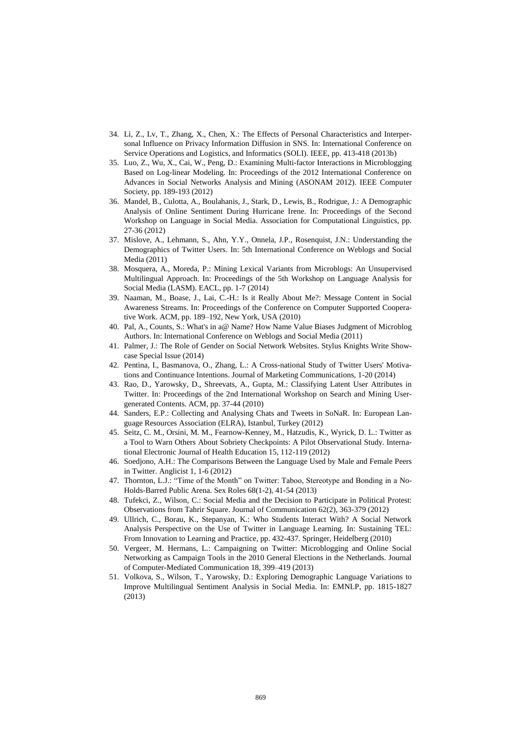- 34. Li, Z., Lv, T., Zhang, X., Chen, X.: The Effects of Personal Characteristics and Interpersonal Influence on Privacy Information Diffusion in SNS. In: International Conference on Service Operations and Logistics, and Informatics (SOLI). IEEE, pp. 413-418 (2013b)
- 35. Luo, Z., Wu, X., Cai, W., Peng, D.: Examining Multi-factor Interactions in Microblogging Based on Log-linear Modeling. In: Proceedings of the 2012 International Conference on Advances in Social Networks Analysis and Mining (ASONAM 2012). IEEE Computer Society, pp. 189-193 (2012)
- 36. Mandel, B., Culotta, A., Boulahanis, J., Stark, D., Lewis, B., Rodrigue, J.: A Demographic Analysis of Online Sentiment During Hurricane Irene. In: Proceedings of the Second Workshop on Language in Social Media. Association for Computational Linguistics, pp. 27-36 (2012)
- 37. Mislove, A., Lehmann, S., Ahn, Y.Y., Onnela, J.P., Rosenquist, J.N.: Understanding the Demographics of Twitter Users. In: 5th International Conference on Weblogs and Social Media (2011)
- 38. Mosquera, A., Moreda, P.: Mining Lexical Variants from Microblogs: An Unsupervised Multilingual Approach. In: Proceedings of the 5th Workshop on Language Analysis for Social Media (LASM). EACL, pp. 1-7 (2014)
- 39. Naaman, M., Boase, J., Lai, C.-H.: Is it Really About Me?: Message Content in Social Awareness Streams. In: Proceedings of the Conference on Computer Supported Cooperative Work. ACM, pp. 189–192, New York, USA (2010)
- 40. Pal, A., Counts, S.: What's in a@ Name? How Name Value Biases Judgment of Microblog Authors. In: International Conference on Weblogs and Social Media (2011)
- 41. Palmer, J.: The Role of Gender on Social Network Websites. Stylus Knights Write Showcase Special Issue (2014)
- 42. Pentina, I., Basmanova, O., Zhang, L.: A Cross-national Study of Twitter Users' Motivations and Continuance Intentions. Journal of Marketing Communications, 1-20 (2014)
- 43. Rao, D., Yarowsky, D., Shreevats, A., Gupta, M.: Classifying Latent User Attributes in Twitter. In: Proceedings of the 2nd International Workshop on Search and Mining Usergenerated Contents. ACM, pp. 37-44 (2010)
- 44. Sanders, E.P.: Collecting and Analysing Chats and Tweets in SoNaR. In: European Language Resources Association (ELRA), Istanbul, Turkey (2012)
- 45. Seitz, C. M., Orsini, M. M., Fearnow-Kenney, M., Hatzudis, K., Wyrick, D. L.: Twitter as a Tool to Warn Others About Sobriety Checkpoints: A Pilot Observational Study. International Electronic Journal of Health Education 15, 112-119 (2012)
- 46. Soedjono, A.H.: The Comparisons Between the Language Used by Male and Female Peers in Twitter. Anglicist 1, 1-6 (2012)
- 47. Thornton, L.J.: "Time of the Month" on Twitter: Taboo, Stereotype and Bonding in a No-Holds-Barred Public Arena. Sex Roles 68(1-2), 41-54 (2013)
- 48. Tufekci, Z., Wilson, C.: Social Media and the Decision to Participate in Political Protest: Observations from Tahrir Square. Journal of Communication 62(2), 363-379 (2012)
- 49. Ullrich, C., Borau, K., Stepanyan, K.: Who Students Interact With? A Social Network Analysis Perspective on the Use of Twitter in Language Learning. In: Sustaining TEL: From Innovation to Learning and Practice, pp. 432-437. Springer, Heidelberg (2010)
- 50. Vergeer, M. Hermans, L.: Campaigning on Twitter: Microblogging and Online Social Networking as Campaign Tools in the 2010 General Elections in the Netherlands. Journal of Computer-Mediated Communication 18, 399–419 (2013)
- 51. Volkova, S., Wilson, T., Yarowsky, D.: Exploring Demographic Language Variations to Improve Multilingual Sentiment Analysis in Social Media. In: EMNLP, pp. 1815-1827 (2013)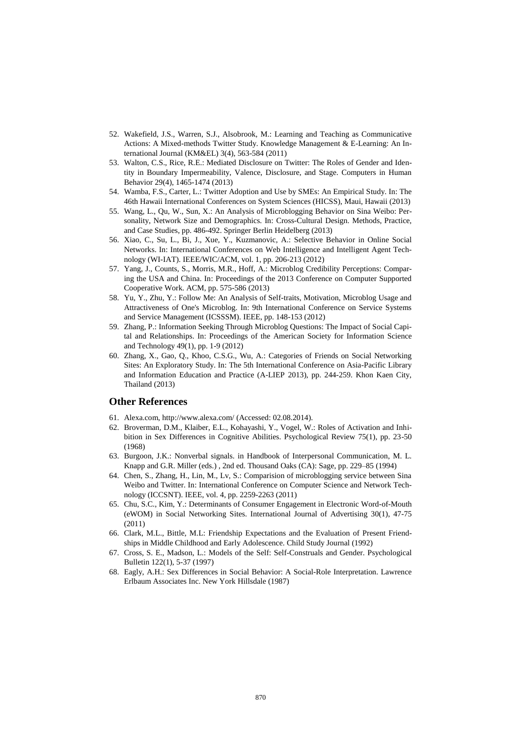- 52. Wakefield, J.S., Warren, S.J., Alsobrook, M.: Learning and Teaching as Communicative Actions: A Mixed-methods Twitter Study. Knowledge Management & E-Learning: An International Journal (KM&EL) 3(4), 563-584 (2011)
- 53. Walton, C.S., Rice, R.E.: Mediated Disclosure on Twitter: The Roles of Gender and Identity in Boundary Impermeability, Valence, Disclosure, and Stage. Computers in Human Behavior 29(4), 1465-1474 (2013)
- 54. Wamba, F.S., Carter, L.: Twitter Adoption and Use by SMEs: An Empirical Study. In: The 46th Hawaii International Conferences on System Sciences (HICSS), Maui, Hawaii (2013)
- 55. Wang, L., Qu, W., Sun, X.: An Analysis of Microblogging Behavior on Sina Weibo: Personality, Network Size and Demographics. In: Cross-Cultural Design. Methods, Practice, and Case Studies, pp. 486-492. Springer Berlin Heidelberg (2013)
- 56. Xiao, C., Su, L., Bi, J., Xue, Y., Kuzmanovic, A.: Selective Behavior in Online Social Networks. In: International Conferences on Web Intelligence and Intelligent Agent Technology (WI-IAT). IEEE/WIC/ACM, vol. 1, pp. 206-213 (2012)
- 57. Yang, J., Counts, S., Morris, M.R., Hoff, A.: Microblog Credibility Perceptions: Comparing the USA and China. In: Proceedings of the 2013 Conference on Computer Supported Cooperative Work. ACM, pp. 575-586 (2013)
- 58. Yu, Y., Zhu, Y.: Follow Me: An Analysis of Self-traits, Motivation, Microblog Usage and Attractiveness of One's Microblog. In: 9th International Conference on Service Systems and Service Management (ICSSSM). IEEE, pp. 148-153 (2012)
- 59. Zhang, P.: Information Seeking Through Microblog Questions: The Impact of Social Capital and Relationships. In: Proceedings of the American Society for Information Science and Technology 49(1), pp. 1-9 (2012)
- 60. Zhang, X., Gao, Q., Khoo, C.S.G., Wu, A.: Categories of Friends on Social Networking Sites: An Exploratory Study. In: The 5th International Conference on Asia-Pacific Library and Information Education and Practice (A-LIEP 2013), pp. 244-259. Khon Kaen City, Thailand (2013)

## **Other References**

- <span id="page-14-4"></span>61. Alexa.com[, http://www.alexa.com/](http://www.alexa.com/) (Accessed: 02.08.2014).
- <span id="page-14-6"></span>62. Broverman, D.M., Klaiber, E.L., Kohayashi, Y., Vogel, W.: Roles of Activation and Inhibition in Sex Differences in Cognitive Abilities. Psychological Review 75(1), pp. 23-50 (1968)
- <span id="page-14-7"></span>63. Burgoon, J.K.: Nonverbal signals. in Handbook of Interpersonal Communication, M. L. Knapp and G.R. Miller (eds.) , 2nd ed. Thousand Oaks (CA): Sage, pp. 229–85 (1994)
- <span id="page-14-1"></span>64. Chen, S., Zhang, H., Lin, M., Lv, S.: Comparision of microblogging service between Sina Weibo and Twitter. In: International Conference on Computer Science and Network Technology (ICCSNT). IEEE, vol. 4, pp. 2259-2263 (2011)
- <span id="page-14-0"></span>65. Chu, S.C., Kim, Y.: Determinants of Consumer Engagement in Electronic Word-of-Mouth (eWOM) in Social Networking Sites. International Journal of Advertising 30(1), 47-75 (2011)
- <span id="page-14-5"></span>66. Clark, M.L., Bittle, M.L: Friendship Expectations and the Evaluation of Present Friendships in Middle Childhood and Early Adolescence. Child Study Journal (1992)
- <span id="page-14-3"></span>67. Cross, S. E., Madson, L.: Models of the Self: Self-Construals and Gender. Psychological Bulletin 122(1), 5-37 (1997)
- <span id="page-14-2"></span>68. Eagly, A.H.: Sex Differences in Social Behavior: A Social-Role Interpretation. Lawrence Erlbaum Associates Inc. New York Hillsdale (1987)